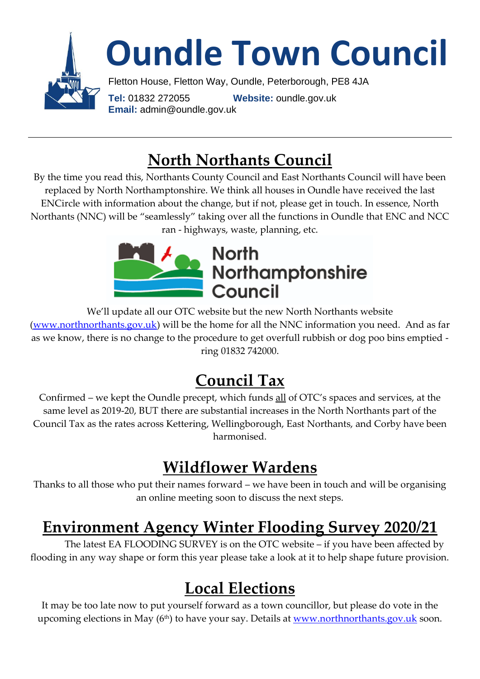

## **North Northants Council**

By the time you read this, Northants County Council and East Northants Council will have been replaced by North Northamptonshire. We think all houses in Oundle have received the last ENCircle with information about the change, but if not, please get in touch. In essence, North Northants (NNC) will be "seamlessly" taking over all the functions in Oundle that ENC and NCC ran - highways, waste, planning, etc.



We'll update all our OTC website but the new North Northants website [\(www.northnorthants.gov.uk\)](http://www.northnorthants.gov.uk/) will be the home for all the NNC information you need. And as far as we know, there is no change to the procedure to get overfull rubbish or dog poo bins emptied ring 01832 742000.

## **Council Tax**

Confirmed – we kept the Oundle precept, which funds all of OTC's spaces and services, at the same level as 2019-20, BUT there are substantial increases in the North Northants part of the Council Tax as the rates across Kettering, Wellingborough, East Northants, and Corby have been harmonised.

# **Wildflower Wardens**

Thanks to all those who put their names forward – we have been in touch and will be organising an online meeting soon to discuss the next steps.

## **Environment Agency Winter Flooding Survey 2020/21**

The latest EA FLOODING SURVEY is on the OTC website – if you have been affected by flooding in any way shape or form this year please take a look at it to help shape future provision.

## **Local Elections**

It may be too late now to put yourself forward as a town councillor, but please do vote in the upcoming elections in May (6<sup>th</sup>) to have your say. Details at <u>www.northnorthants.gov.uk</u> soon.